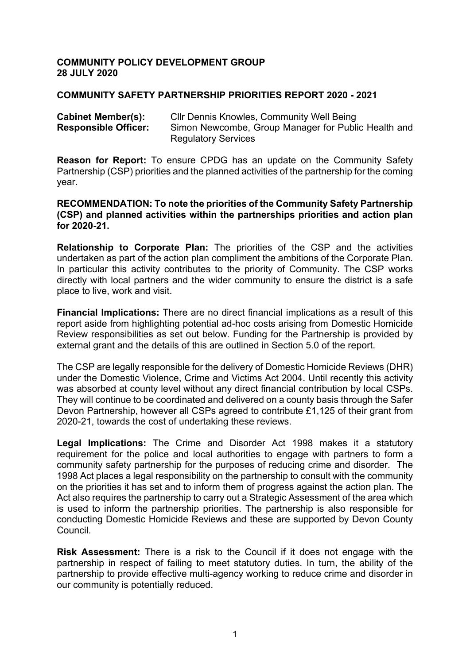#### **COMMUNITY POLICY DEVELOPMENT GROUP 28 JULY 2020**

#### **COMMUNITY SAFETY PARTNERSHIP PRIORITIES REPORT 2020 - 2021**

| <b>Cabinet Member(s):</b>   | CIIr Dennis Knowles, Community Well Being           |
|-----------------------------|-----------------------------------------------------|
| <b>Responsible Officer:</b> | Simon Newcombe, Group Manager for Public Health and |
|                             | <b>Regulatory Services</b>                          |

**Reason for Report:** To ensure CPDG has an update on the Community Safety Partnership (CSP) priorities and the planned activities of the partnership for the coming year.

#### **RECOMMENDATION: To note the priorities of the Community Safety Partnership (CSP) and planned activities within the partnerships priorities and action plan for 2020-21.**

**Relationship to Corporate Plan:** The priorities of the CSP and the activities undertaken as part of the action plan compliment the ambitions of the Corporate Plan. In particular this activity contributes to the priority of Community. The CSP works directly with local partners and the wider community to ensure the district is a safe place to live, work and visit.

**Financial Implications:** There are no direct financial implications as a result of this report aside from highlighting potential ad-hoc costs arising from Domestic Homicide Review responsibilities as set out below. Funding for the Partnership is provided by external grant and the details of this are outlined in Section 5.0 of the report.

The CSP are legally responsible for the delivery of Domestic Homicide Reviews (DHR) under the Domestic Violence, Crime and Victims Act 2004. Until recently this activity was absorbed at county level without any direct financial contribution by local CSPs. They will continue to be coordinated and delivered on a county basis through the Safer Devon Partnership, however all CSPs agreed to contribute £1,125 of their grant from 2020-21, towards the cost of undertaking these reviews.

**Legal Implications:** The Crime and Disorder Act 1998 makes it a statutory requirement for the police and local authorities to engage with partners to form a community safety partnership for the purposes of reducing crime and disorder. The 1998 Act places a legal responsibility on the partnership to consult with the community on the priorities it has set and to inform them of progress against the action plan. The Act also requires the partnership to carry out a Strategic Assessment of the area which is used to inform the partnership priorities. The partnership is also responsible for conducting Domestic Homicide Reviews and these are supported by Devon County Council.

**Risk Assessment:** There is a risk to the Council if it does not engage with the partnership in respect of failing to meet statutory duties. In turn, the ability of the partnership to provide effective multi-agency working to reduce crime and disorder in our community is potentially reduced.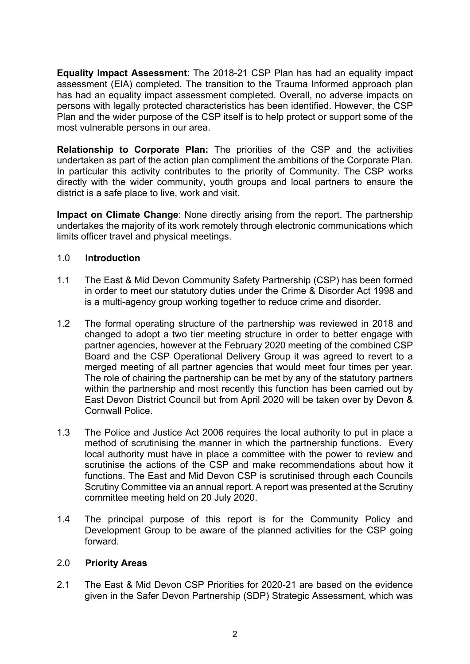**Equality Impact Assessment**: The 2018-21 CSP Plan has had an equality impact assessment (EIA) completed. The transition to the Trauma Informed approach plan has had an equality impact assessment completed. Overall, no adverse impacts on persons with legally protected characteristics has been identified. However, the CSP Plan and the wider purpose of the CSP itself is to help protect or support some of the most vulnerable persons in our area.

**Relationship to Corporate Plan:** The priorities of the CSP and the activities undertaken as part of the action plan compliment the ambitions of the Corporate Plan. In particular this activity contributes to the priority of Community. The CSP works directly with the wider community, youth groups and local partners to ensure the district is a safe place to live, work and visit.

**Impact on Climate Change**: None directly arising from the report. The partnership undertakes the majority of its work remotely through electronic communications which limits officer travel and physical meetings.

### 1.0 **Introduction**

- 1.1 The East & Mid Devon Community Safety Partnership (CSP) has been formed in order to meet our statutory duties under the Crime & Disorder Act 1998 and is a multi-agency group working together to reduce crime and disorder.
- 1.2 The formal operating structure of the partnership was reviewed in 2018 and changed to adopt a two tier meeting structure in order to better engage with partner agencies, however at the February 2020 meeting of the combined CSP Board and the CSP Operational Delivery Group it was agreed to revert to a merged meeting of all partner agencies that would meet four times per year. The role of chairing the partnership can be met by any of the statutory partners within the partnership and most recently this function has been carried out by East Devon District Council but from April 2020 will be taken over by Devon & Cornwall Police.
- 1.3 The Police and Justice Act 2006 requires the local authority to put in place a method of scrutinising the manner in which the partnership functions. Every local authority must have in place a committee with the power to review and scrutinise the actions of the CSP and make recommendations about how it functions. The East and Mid Devon CSP is scrutinised through each Councils Scrutiny Committee via an annual report. A report was presented at the Scrutiny committee meeting held on 20 July 2020.
- 1.4 The principal purpose of this report is for the Community Policy and Development Group to be aware of the planned activities for the CSP going forward.

### 2.0 **Priority Areas**

2.1 The East & Mid Devon CSP Priorities for 2020-21 are based on the evidence given in the Safer Devon Partnership (SDP) Strategic Assessment, which was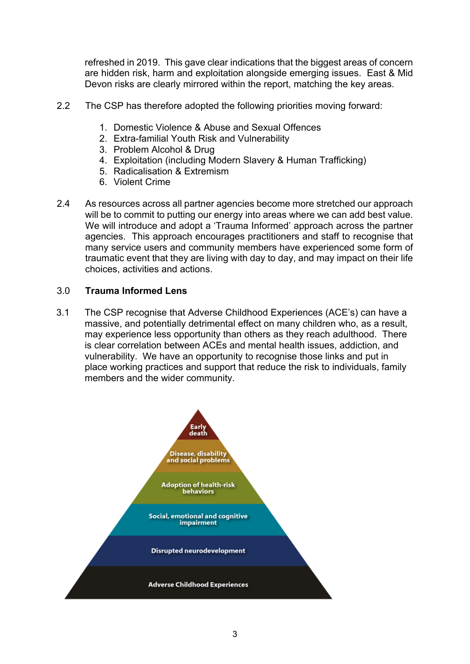refreshed in 2019. This gave clear indications that the biggest areas of concern are hidden risk, harm and exploitation alongside emerging issues. East & Mid Devon risks are clearly mirrored within the report, matching the key areas.

- 2.2 The CSP has therefore adopted the following priorities moving forward:
	- 1. Domestic Violence & Abuse and Sexual Offences
	- 2. Extra-familial Youth Risk and Vulnerability
	- 3. Problem Alcohol & Drug
	- 4. Exploitation (including Modern Slavery & Human Trafficking)
	- 5. Radicalisation & Extremism
	- 6. Violent Crime
- 2.4 As resources across all partner agencies become more stretched our approach will be to commit to putting our energy into areas where we can add best value. We will introduce and adopt a 'Trauma Informed' approach across the partner agencies. This approach encourages practitioners and staff to recognise that many service users and community members have experienced some form of traumatic event that they are living with day to day, and may impact on their life choices, activities and actions.

### 3.0 **Trauma Informed Lens**

3.1 The CSP recognise that Adverse Childhood Experiences (ACE's) can have a massive, and potentially detrimental effect on many children who, as a result, may experience less opportunity than others as they reach adulthood. There is clear correlation between ACEs and mental health issues, addiction, and vulnerability. We have an opportunity to recognise those links and put in place working practices and support that reduce the risk to individuals, family members and the wider community.

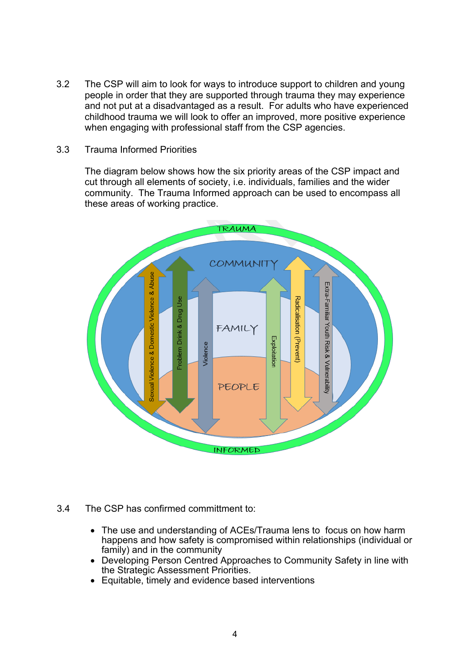3.2 The CSP will aim to look for ways to introduce support to children and young people in order that they are supported through trauma they may experience and not put at a disadvantaged as a result. For adults who have experienced childhood trauma we will look to offer an improved, more positive experience when engaging with professional staff from the CSP agencies.

#### 3.3 Trauma Informed Priorities

The diagram below shows how the six priority areas of the CSP impact and cut through all elements of society, i.e. individuals, families and the wider community. The Trauma Informed approach can be used to encompass all these areas of working practice.



- 3.4 The CSP has confirmed committment to:
	- The use and understanding of ACEs/Trauma lens to focus on how harm happens and how safety is compromised within relationships (individual or family) and in the community
	- Developing Person Centred Approaches to Community Safety in line with the Strategic Assessment Priorities.
	- Equitable, timely and evidence based interventions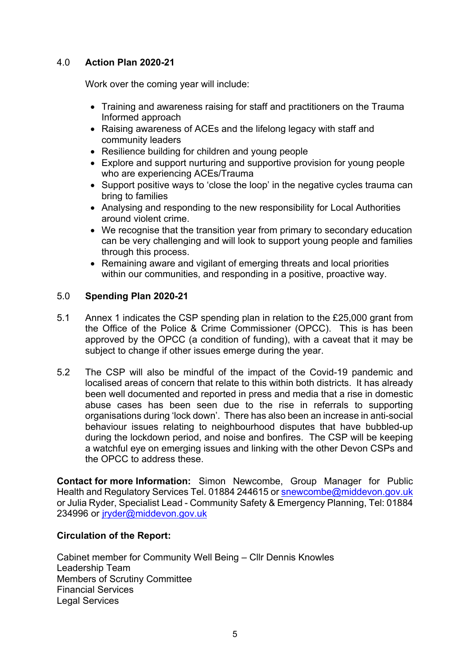### 4.0 **Action Plan 2020-21**

Work over the coming year will include:

- Training and awareness raising for staff and practitioners on the Trauma Informed approach
- Raising awareness of ACEs and the lifelong legacy with staff and community leaders
- Resilience building for children and young people
- Explore and support nurturing and supportive provision for young people who are experiencing ACEs/Trauma
- Support positive ways to 'close the loop' in the negative cycles trauma can bring to families
- Analysing and responding to the new responsibility for Local Authorities around violent crime.
- We recognise that the transition year from primary to secondary education can be very challenging and will look to support young people and families through this process.
- Remaining aware and vigilant of emerging threats and local priorities within our communities, and responding in a positive, proactive way.

### 5.0 **Spending Plan 2020-21**

- 5.1 Annex 1 indicates the CSP spending plan in relation to the £25,000 grant from the Office of the Police & Crime Commissioner (OPCC). This is has been approved by the OPCC (a condition of funding), with a caveat that it may be subject to change if other issues emerge during the year.
- 5.2 The CSP will also be mindful of the impact of the Covid-19 pandemic and localised areas of concern that relate to this within both districts. It has already been well documented and reported in press and media that a rise in domestic abuse cases has been seen due to the rise in referrals to supporting organisations during 'lock down'. There has also been an increase in anti-social behaviour issues relating to neighbourhood disputes that have bubbled-up during the lockdown period, and noise and bonfires. The CSP will be keeping a watchful eye on emerging issues and linking with the other Devon CSPs and the OPCC to address these.

**Contact for more Information:** Simon Newcombe, Group Manager for Public Health and Regulatory Services Tel. 01884 244615 or [snewcombe@middevon.gov.uk](mailto:snewcombe@middevon.gov.uk) or Julia Ryder, Specialist Lead - Community Safety & Emergency Planning, Tel: 01884 234996 or [jryder@middevon.gov.uk](mailto:jryder@middevon.gov.uk)

### **Circulation of the Report:**

Cabinet member for Community Well Being – Cllr Dennis Knowles Leadership Team Members of Scrutiny Committee Financial Services Legal Services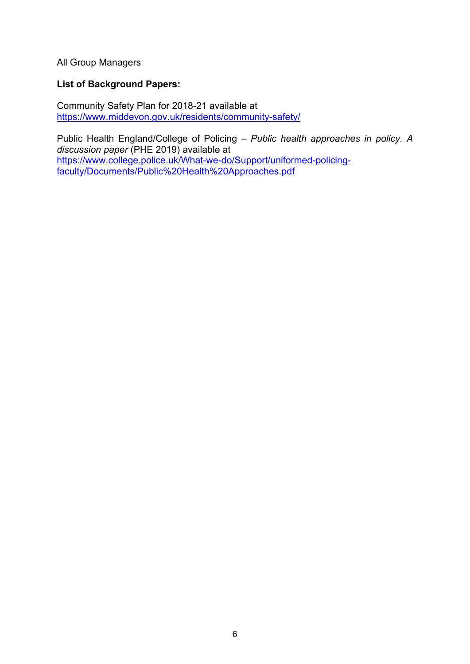All Group Managers

### **List of Background Papers:**

Community Safety Plan for 2018-21 available at <https://www.middevon.gov.uk/residents/community-safety/>

Public Health England/College of Policing – *Public health approaches in policy. A discussion paper* (PHE 2019) available at [https://www.college.police.uk/What-we-do/Support/uniformed-policing](https://www.college.police.uk/What-we-do/Support/uniformed-policing-faculty/Documents/Public%20Health%20Approaches.pdf)[faculty/Documents/Public%20Health%20Approaches.pdf](https://www.college.police.uk/What-we-do/Support/uniformed-policing-faculty/Documents/Public%20Health%20Approaches.pdf)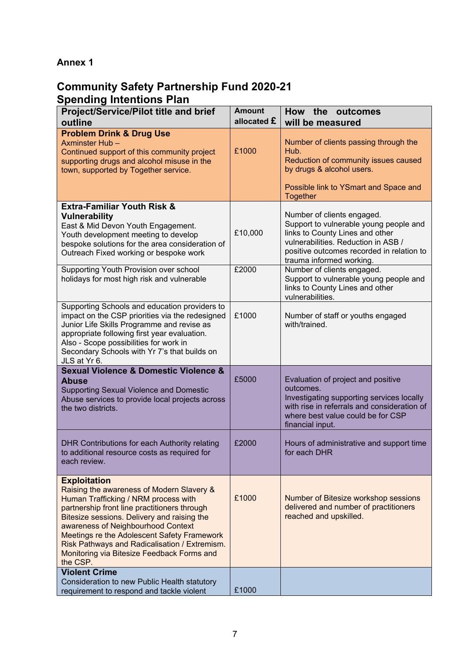## **Annex 1**

# **Community Safety Partnership Fund 2020-21 Spending Intentions Plan**

| <b>Project/Service/Pilot title and brief</b>                                                                                                                                                                                                                                                                                                                                                            | <b>Amount</b><br>allocated £ | How the outcomes                                                                                                                                                                                                        |
|---------------------------------------------------------------------------------------------------------------------------------------------------------------------------------------------------------------------------------------------------------------------------------------------------------------------------------------------------------------------------------------------------------|------------------------------|-------------------------------------------------------------------------------------------------------------------------------------------------------------------------------------------------------------------------|
| outline                                                                                                                                                                                                                                                                                                                                                                                                 |                              | will be measured                                                                                                                                                                                                        |
| <b>Problem Drink &amp; Drug Use</b><br>Axminster Hub-<br>Continued support of this community project<br>supporting drugs and alcohol misuse in the<br>town, supported by Together service.                                                                                                                                                                                                              | £1000                        | Number of clients passing through the<br>Hub.<br>Reduction of community issues caused<br>by drugs & alcohol users.<br>Possible link to YSmart and Space and                                                             |
|                                                                                                                                                                                                                                                                                                                                                                                                         |                              | <b>Together</b>                                                                                                                                                                                                         |
| <b>Extra-Familiar Youth Risk &amp;</b><br><b>Vulnerability</b><br>East & Mid Devon Youth Engagement.<br>Youth development meeting to develop<br>bespoke solutions for the area consideration of<br>Outreach Fixed working or bespoke work                                                                                                                                                               | £10,000                      | Number of clients engaged.<br>Support to vulnerable young people and<br>links to County Lines and other<br>vulnerabilities. Reduction in ASB /<br>positive outcomes recorded in relation to<br>trauma informed working. |
| Supporting Youth Provision over school<br>holidays for most high risk and vulnerable                                                                                                                                                                                                                                                                                                                    | £2000                        | Number of clients engaged.<br>Support to vulnerable young people and<br>links to County Lines and other<br>vulnerabilities.                                                                                             |
| Supporting Schools and education providers to<br>impact on the CSP priorities via the redesigned<br>Junior Life Skills Programme and revise as<br>appropriate following first year evaluation.<br>Also - Scope possibilities for work in<br>Secondary Schools with Yr 7's that builds on<br>JLS at Yr 6.                                                                                                | £1000                        | Number of staff or youths engaged<br>with/trained.                                                                                                                                                                      |
| <b>Sexual Violence &amp; Domestic Violence &amp;</b><br><b>Abuse</b><br>Supporting Sexual Violence and Domestic<br>Abuse services to provide local projects across<br>the two districts.                                                                                                                                                                                                                | £5000                        | Evaluation of project and positive<br>outcomes.<br>Investigating supporting services locally<br>with rise in referrals and consideration of<br>where best value could be for CSP<br>financial input.                    |
| DHR Contributions for each Authority relating<br>to additional resource costs as required for<br>each review.                                                                                                                                                                                                                                                                                           | £2000                        | Hours of administrative and support time<br>for each DHR                                                                                                                                                                |
| <b>Exploitation</b><br>Raising the awareness of Modern Slavery &<br>Human Trafficking / NRM process with<br>partnership front line practitioners through<br>Bitesize sessions. Delivery and raising the<br>awareness of Neighbourhood Context<br>Meetings re the Adolescent Safety Framework<br>Risk Pathways and Radicalisation / Extremism.<br>Monitoring via Bitesize Feedback Forms and<br>the CSP. | £1000                        | Number of Bitesize workshop sessions<br>delivered and number of practitioners<br>reached and upskilled.                                                                                                                 |
| <b>Violent Crime</b>                                                                                                                                                                                                                                                                                                                                                                                    |                              |                                                                                                                                                                                                                         |
| Consideration to new Public Health statutory<br>requirement to respond and tackle violent                                                                                                                                                                                                                                                                                                               | £1000                        |                                                                                                                                                                                                                         |